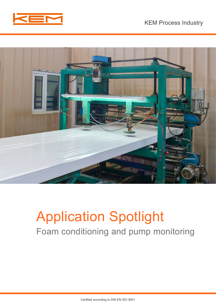



# Application Spotlight Foam conditioning and pump monitoring